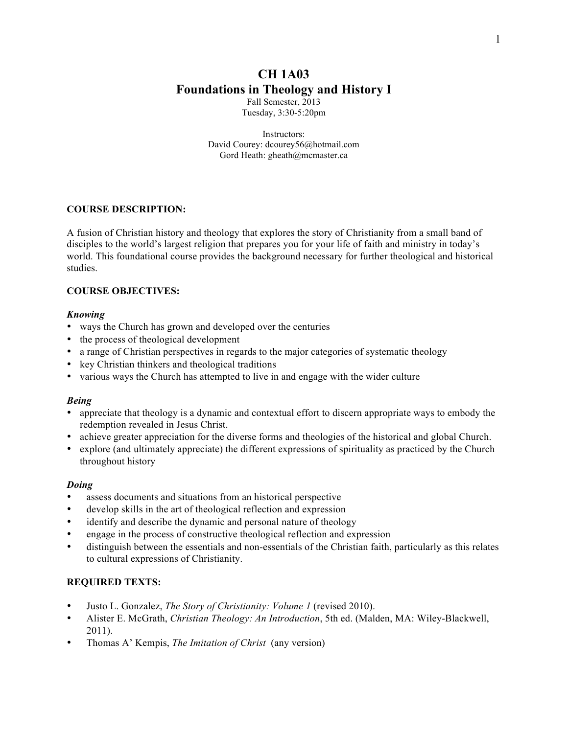# **CH 1A03 Foundations in Theology and History I**

Fall Semester, 2013 Tuesday, 3:30-5:20pm

Instructors: David Courey: dcourey56@hotmail.com Gord Heath: gheath@mcmaster.ca

## **COURSE DESCRIPTION:**

A fusion of Christian history and theology that explores the story of Christianity from a small band of disciples to the world's largest religion that prepares you for your life of faith and ministry in today's world. This foundational course provides the background necessary for further theological and historical studies.

#### **COURSE OBJECTIVES:**

#### *Knowing*

- ways the Church has grown and developed over the centuries
- the process of theological development
- a range of Christian perspectives in regards to the major categories of systematic theology
- key Christian thinkers and theological traditions
- various ways the Church has attempted to live in and engage with the wider culture

#### *Being*

- appreciate that theology is a dynamic and contextual effort to discern appropriate ways to embody the redemption revealed in Jesus Christ.
- achieve greater appreciation for the diverse forms and theologies of the historical and global Church.
- explore (and ultimately appreciate) the different expressions of spirituality as practiced by the Church throughout history

#### *Doing*

- assess documents and situations from an historical perspective
- develop skills in the art of theological reflection and expression
- identify and describe the dynamic and personal nature of theology
- engage in the process of constructive theological reflection and expression
- distinguish between the essentials and non-essentials of the Christian faith, particularly as this relates to cultural expressions of Christianity.

## **REQUIRED TEXTS:**

- Justo L. Gonzalez, *The Story of Christianity: Volume 1* (revised 2010).
- Alister E. McGrath, *Christian Theology: An Introduction*, 5th ed. (Malden, MA: Wiley-Blackwell, 2011).
- Thomas A' Kempis, *The Imitation of Christ* (any version)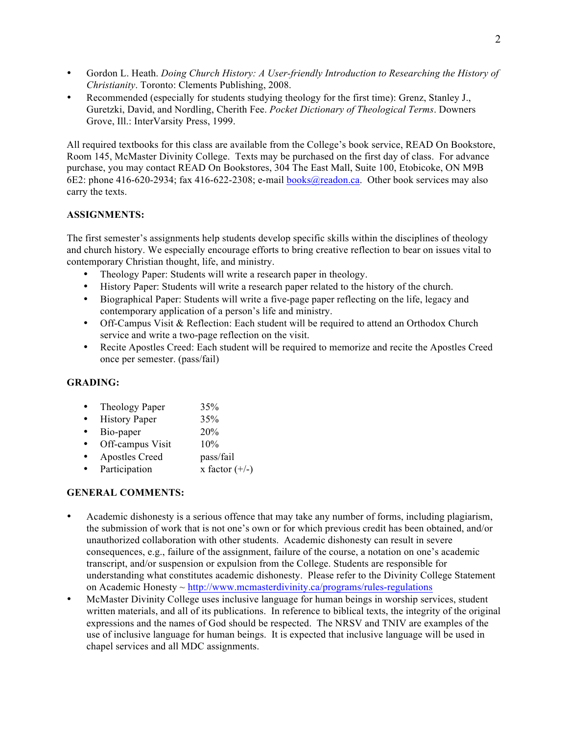- Gordon L. Heath. *Doing Church History: A User-friendly Introduction to Researching the History of Christianity*. Toronto: Clements Publishing, 2008.
- Recommended (especially for students studying theology for the first time): Grenz, Stanley J., Guretzki, David, and Nordling, Cherith Fee. *Pocket Dictionary of Theological Terms*. Downers Grove, Ill.: InterVarsity Press, 1999.

All required textbooks for this class are available from the College's book service, READ On Bookstore, Room 145, McMaster Divinity College. Texts may be purchased on the first day of class. For advance purchase, you may contact READ On Bookstores, 304 The East Mall, Suite 100, Etobicoke, ON M9B 6E2: phone 416-620-2934; fax 416-622-2308; e-mail books@readon.ca. Other book services may also carry the texts.

## **ASSIGNMENTS:**

The first semester's assignments help students develop specific skills within the disciplines of theology and church history. We especially encourage efforts to bring creative reflection to bear on issues vital to contemporary Christian thought, life, and ministry.

- Theology Paper: Students will write a research paper in theology.
- History Paper: Students will write a research paper related to the history of the church.
- Biographical Paper: Students will write a five-page paper reflecting on the life, legacy and contemporary application of a person's life and ministry.
- Off-Campus Visit & Reflection: Each student will be required to attend an Orthodox Church service and write a two-page reflection on the visit.
- Recite Apostles Creed: Each student will be required to memorize and recite the Apostles Creed once per semester. (pass/fail)

# **GRADING:**

- Theology Paper 35%
- History Paper 35%
- Bio-paper 20%
- Off-campus Visit 10%
- Apostles Creed pass/fail
- Participation  $x$  factor  $(+/-)$

## **GENERAL COMMENTS:**

- Academic dishonesty is a serious offence that may take any number of forms, including plagiarism, the submission of work that is not one's own or for which previous credit has been obtained, and/or unauthorized collaboration with other students. Academic dishonesty can result in severe consequences, e.g., failure of the assignment, failure of the course, a notation on one's academic transcript, and/or suspension or expulsion from the College. Students are responsible for understanding what constitutes academic dishonesty. Please refer to the Divinity College Statement on Academic Honesty ~ http://www.mcmasterdivinity.ca/programs/rules-regulations
- McMaster Divinity College uses inclusive language for human beings in worship services, student written materials, and all of its publications. In reference to biblical texts, the integrity of the original expressions and the names of God should be respected. The NRSV and TNIV are examples of the use of inclusive language for human beings. It is expected that inclusive language will be used in chapel services and all MDC assignments.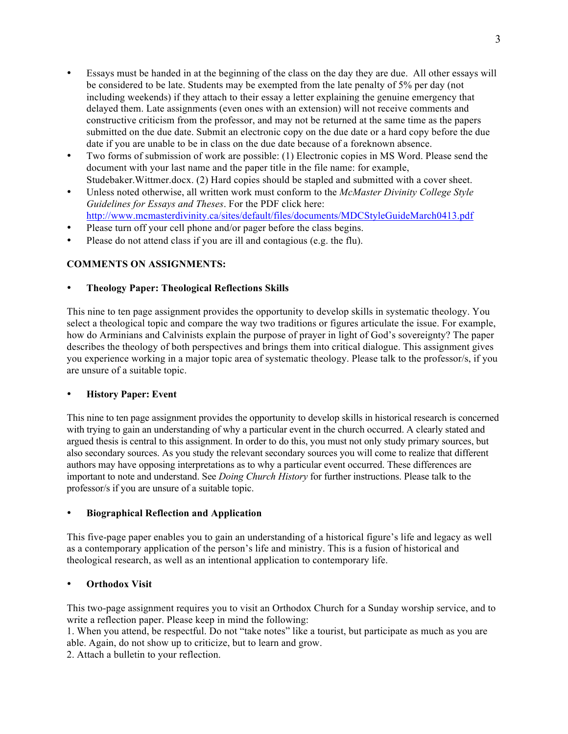- Essays must be handed in at the beginning of the class on the day they are due. All other essays will be considered to be late. Students may be exempted from the late penalty of 5% per day (not including weekends) if they attach to their essay a letter explaining the genuine emergency that delayed them. Late assignments (even ones with an extension) will not receive comments and constructive criticism from the professor, and may not be returned at the same time as the papers submitted on the due date. Submit an electronic copy on the due date or a hard copy before the due date if you are unable to be in class on the due date because of a foreknown absence.
- Two forms of submission of work are possible: (1) Electronic copies in MS Word. Please send the document with your last name and the paper title in the file name: for example, Studebaker.Wittmer.docx. (2) Hard copies should be stapled and submitted with a cover sheet.
- Unless noted otherwise, all written work must conform to the *McMaster Divinity College Style Guidelines for Essays and Theses*. For the PDF click here: http://www.mcmasterdivinity.ca/sites/default/files/documents/MDCStyleGuideMarch0413.pdf
- Please turn off your cell phone and/or pager before the class begins.
- Please do not attend class if you are ill and contagious (e.g. the flu).

## **COMMENTS ON ASSIGNMENTS:**

## • **Theology Paper: Theological Reflections Skills**

This nine to ten page assignment provides the opportunity to develop skills in systematic theology. You select a theological topic and compare the way two traditions or figures articulate the issue. For example, how do Arminians and Calvinists explain the purpose of prayer in light of God's sovereignty? The paper describes the theology of both perspectives and brings them into critical dialogue. This assignment gives you experience working in a major topic area of systematic theology. Please talk to the professor/s, if you are unsure of a suitable topic.

## • **History Paper: Event**

This nine to ten page assignment provides the opportunity to develop skills in historical research is concerned with trying to gain an understanding of why a particular event in the church occurred. A clearly stated and argued thesis is central to this assignment. In order to do this, you must not only study primary sources, but also secondary sources. As you study the relevant secondary sources you will come to realize that different authors may have opposing interpretations as to why a particular event occurred. These differences are important to note and understand. See *Doing Church History* for further instructions. Please talk to the professor/s if you are unsure of a suitable topic.

#### • **Biographical Reflection and Application**

This five-page paper enables you to gain an understanding of a historical figure's life and legacy as well as a contemporary application of the person's life and ministry. This is a fusion of historical and theological research, as well as an intentional application to contemporary life.

## • **Orthodox Visit**

This two-page assignment requires you to visit an Orthodox Church for a Sunday worship service, and to write a reflection paper. Please keep in mind the following:

1. When you attend, be respectful. Do not "take notes" like a tourist, but participate as much as you are able. Again, do not show up to criticize, but to learn and grow.

2. Attach a bulletin to your reflection.